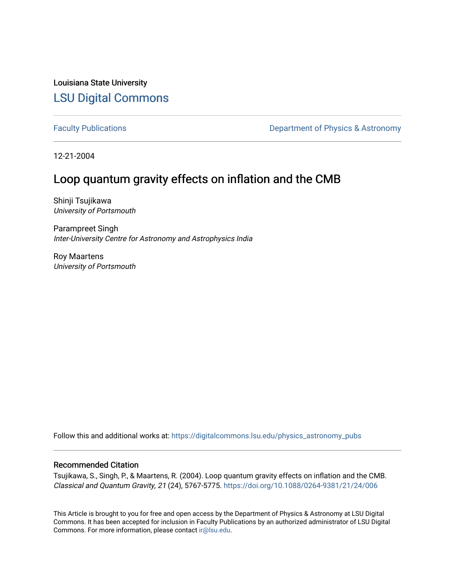Louisiana State University [LSU Digital Commons](https://digitalcommons.lsu.edu/)

[Faculty Publications](https://digitalcommons.lsu.edu/physics_astronomy_pubs) **Exercise 2 and Table 2 and Table 2 and Table 2 and Table 2 and Table 2 and Table 2 and Table 2 and Table 2 and Table 2 and Table 2 and Table 2 and Table 2 and Table 2 and Table 2 and Table 2 and Table** 

12-21-2004

# Loop quantum gravity effects on inflation and the CMB

Shinji Tsujikawa University of Portsmouth

Parampreet Singh Inter-University Centre for Astronomy and Astrophysics India

Roy Maartens University of Portsmouth

Follow this and additional works at: [https://digitalcommons.lsu.edu/physics\\_astronomy\\_pubs](https://digitalcommons.lsu.edu/physics_astronomy_pubs?utm_source=digitalcommons.lsu.edu%2Fphysics_astronomy_pubs%2F5098&utm_medium=PDF&utm_campaign=PDFCoverPages) 

## Recommended Citation

Tsujikawa, S., Singh, P., & Maartens, R. (2004). Loop quantum gravity effects on inflation and the CMB. Classical and Quantum Gravity, 21 (24), 5767-5775.<https://doi.org/10.1088/0264-9381/21/24/006>

This Article is brought to you for free and open access by the Department of Physics & Astronomy at LSU Digital Commons. It has been accepted for inclusion in Faculty Publications by an authorized administrator of LSU Digital Commons. For more information, please contact [ir@lsu.edu](mailto:ir@lsu.edu).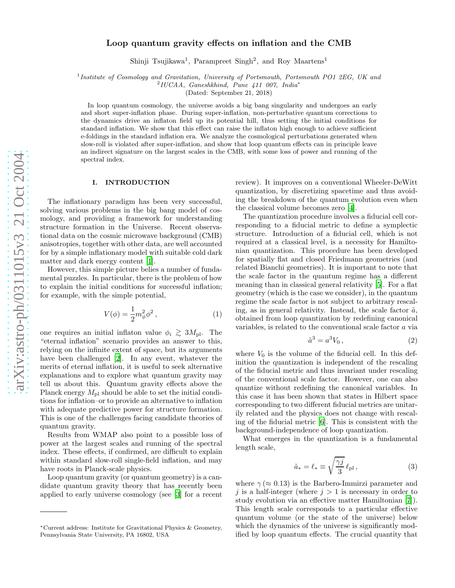### Loop quantum gravity effects on inflation and the CMB

Shinji Tsujikawa<sup>1</sup>, Parampreet Singh<sup>2</sup>, and Roy Maartens<sup>1</sup>

<sup>1</sup>Institute of Cosmology and Gravitation, University of Portsmouth, Portsmouth PO1 2EG, UK and  $\frac{2 \text{ HICAA}}{2 \text{ HICAA}}$  Conceptibing Pune 111,007 Indic<sup>t</sup>

IUCAA, Ganeshkhind, Pune 411 007, India ∗

(Dated: September 21, 2018)

In loop quantum cosmology, the universe avoids a big bang singularity and undergoes an early and short super-inflation phase. During super-inflation, non-perturbative quantum corrections to the dynamics drive an inflaton field up its potential hill, thus setting the initial conditions for standard inflation. We show that this effect can raise the inflaton high enough to achieve sufficient e-foldings in the standard inflation era. We analyze the cosmological perturbations generated when slow-roll is violated after super-inflation, and show that loop quantum effects can in principle leave an indirect signature on the largest scales in the CMB, with some loss of power and running of the spectral index.

#### I. INTRODUCTION

The inflationary paradigm has been very successful, solving various problems in the big bang model of cosmology, and providing a framework for understanding structure formation in the Universe. Recent observational data on the cosmic microwave background (CMB) anisotropies, together with other data, are well accounted for by a simple inflationary model with suitable cold dark matter and dark energy content [\[1](#page-5-0)].

However, this simple picture belies a number of fundamental puzzles. In particular, there is the problem of how to explain the initial conditions for successful inflation; for example, with the simple potential,

$$
V(\phi) = \frac{1}{2}m_{\phi}^{2}\phi^{2},
$$
 (1)

<span id="page-1-0"></span>one requires an initial inflaton value  $\phi_i \gtrsim 3M_{\rm pl}$ . The "stample inflation" geometric provides an approximate this "eternal inflation" scenario provides an answer to this, relying on the infinite extent of space, but its arguments have been challenged [\[2](#page-5-1)]. In any event, whatever the merits of eternal inflation, it is useful to seek alternative explanations and to explore what quantum gravity may tell us about this. Quantum gravity effects above the Planck energy  $M_{\rm pl}$  should be able to set the initial conditions for inflation–or to provide an alternative to inflation with adequate predictive power for structure formation. This is one of the challenges facing candidate theories of quantum gravity.

Results from WMAP also point to a possible loss of power at the largest scales and running of the spectral index. These effects, if confirmed, are difficult to explain within standard slow-roll single-field inflation, and may have roots in Planck-scale physics.

Loop quantum gravity (or quantum geometry) is a candidate quantum gravity theory that has recently been applied to early universe cosmology (see [\[3](#page-5-2)] for a recent

review). It improves on a conventional Wheeler-DeWitt quantization, by discretizing spacetime and thus avoiding the breakdown of the quantum evolution even when the classical volume becomes zero [\[4](#page-5-3)].

The quantization procedure involves a fiducial cell corresponding to a fiducial metric to define a symplectic structure. Introduction of a fiducial cell, which is not required at a classical level, is a necessity for Hamiltonian quantization. This procedure has been developed for spatially flat and closed Friedmann geometries (and related Bianchi geometries). It is important to note that the scale factor in the quantum regime has a different meaning than in classical general relativity [\[5\]](#page-5-4). For a flat geometry (which is the case we consider), in the quantum regime the scale factor is not subject to arbitrary rescaling, as in general relativity. Instead, the scale factor  $\tilde{a}$ , obtained from loop quantization by redefining canonical variables, is related to the conventional scale factor a via

$$
\tilde{a}^3 = a^3 V_0 \,, \tag{2}
$$

where  $V_0$  is the volume of the fiducial cell. In this definition the quantization is independent of the rescaling of the fiducial metric and thus invariant under rescaling of the conventional scale factor. However, one can also quantize without redefining the canonical variables. In this case it has been shown that states in Hilbert space corresponding to two different fiducial metrics are unitarily related and the physics does not change with rescaling of the fiducial metric [\[6](#page-5-5)]. This is consistent with the background-independence of loop quantization.

What emerges in the quantization is a fundamental length scale,

$$
\tilde{a}_* = \ell_* \equiv \sqrt{\frac{\gamma j}{3}} \ell_{\rm pl} , \qquad (3)
$$

where  $\gamma \approx 0.13$ ) is the Barbero-Immirzi parameter and j is a half-integer (where  $j > 1$  is necessary in order to study evolution via an effective matter Hamiltonian [\[7\]](#page-5-6)). This length scale corresponds to a particular effective quantum volume (or the state of the universe) below which the dynamics of the universe is significantly modified by loop quantum effects. The crucial quantity that

<sup>∗</sup>Current address: Institute for Gravitational Physics & Geometry, Pennsylvania State University, PA 16802, USA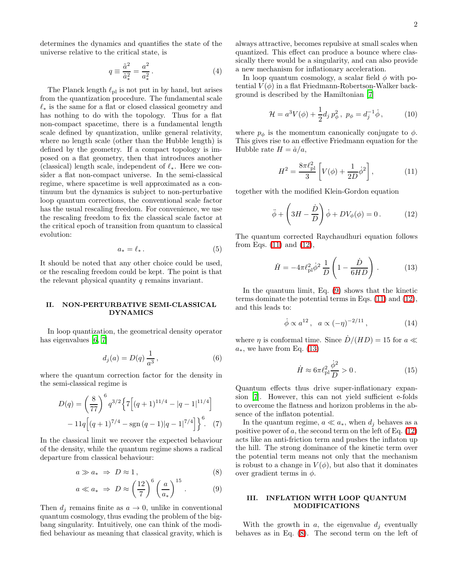determines the dynamics and quantifies the state of the universe relative to the critical state, is

$$
q \equiv \frac{\tilde{a}^2}{\tilde{a}_*^2} = \frac{a^2}{a_*^2} \,. \tag{4}
$$

The Planck length  $\ell_{\text{pl}}$  is not put in by hand, but arises from the quantization procedure. The fundamental scale  $\ell_*$  is the same for a flat or closed classical geometry and has nothing to do with the topology. Thus for a flat non-compact spacetime, there is a fundamental length scale defined by quantization, unlike general relativity, where no length scale (other than the Hubble length) is defined by the geometry. If a compact topology is imposed on a flat geometry, then that introduces another (classical) length scale, independent of  $\ell_*$ . Here we consider a flat non-compact universe. In the semi-classical regime, where spacetime is well approximated as a continuum but the dynamics is subject to non-perturbative loop quantum corrections, the conventional scale factor has the usual rescaling freedom. For convenience, we use the rescaling freedom to fix the classical scale factor at the critical epoch of transition from quantum to classical evolution:

$$
a_* = \ell_* \,. \tag{5}
$$

It should be noted that any other choice could be used, or the rescaling freedom could be kept. The point is that the relevant physical quantity q remains invariant.

#### II. NON-PERTURBATIVE SEMI-CLASSICAL DYNAMICS

In loop quantization, the geometrical density operator has eigenvalues [\[6](#page-5-5), [7](#page-5-6)]

$$
d_j(a) = D(q) \frac{1}{a^3},
$$
\n(6)

where the quantum correction factor for the density in the semi-classical regime is

$$
D(q) = \left(\frac{8}{77}\right)^6 q^{3/2} \left\{ 7\left[ (q+1)^{11/4} - |q-1|^{11/4} \right] -11q \left[ (q+1)^{7/4} - \text{sgn} (q-1) |q-1|^{7/4} \right] \right\}^6. \tag{7}
$$

<span id="page-2-2"></span>In the classical limit we recover the expected behaviour of the density, while the quantum regime shows a radical departure from classical behaviour:

$$
a \gg a_* \Rightarrow D \approx 1,
$$
 (8)

$$
a \ll a_* \Rightarrow D \approx \left(\frac{12}{7}\right)^6 \left(\frac{a}{a_*}\right)^{15}.
$$
 (9)

Then  $d_i$  remains finite as  $a \to 0$ , unlike in conventional quantum cosmology, thus evading the problem of the bigbang singularity. Intuitively, one can think of the modified behaviour as meaning that classical gravity, which is

always attractive, becomes repulsive at small scales when quantized. This effect can produce a bounce where classically there would be a singularity, and can also provide a new mechanism for inflationary acceleration.

In loop quantum cosmology, a scalar field  $\phi$  with potential  $V(\phi)$  in a flat Friedmann-Robertson-Walker background is described by the Hamiltonian [\[7\]](#page-5-6)

$$
\mathcal{H} = a^3 V(\phi) + \frac{1}{2} d_j p_\phi^2, \ p_\phi = d_j^{-1} \dot{\phi}, \qquad (10)
$$

where  $p_{\phi}$  is the momentum canonically conjugate to  $\phi$ . This gives rise to an effective Friedmann equation for the Hubble rate  $H = \dot{a}/a$ ,

$$
H^{2} = \frac{8\pi\ell_{\rm pl}^{2}}{3} \left[ V(\phi) + \frac{1}{2D} \dot{\phi}^{2} \right],
$$
 (11)

<span id="page-2-1"></span><span id="page-2-0"></span>together with the modified Klein-Gordon equation

$$
\ddot{\phi} + \left(3H - \frac{\dot{D}}{D}\right)\dot{\phi} + DV_{\phi}(\phi) = 0.
$$
 (12)

<span id="page-2-3"></span>The quantum corrected Raychaudhuri equation follows from Eqs.  $(11)$  and  $(12)$ ,

$$
\dot{H} = -4\pi \ell_{\rm pl}^2 \dot{\phi}^2 \frac{1}{D} \left( 1 - \frac{\dot{D}}{6HD} \right) . \tag{13}
$$

In the quantum limit, Eq. [\(9\)](#page-2-2) shows that the kinetic terms dominate the potential terms in Eqs. [\(11\)](#page-2-0) and [\(12\)](#page-2-1), and this leads to:

$$
\dot{\phi} \propto a^{12}, \quad a \propto (-\eta)^{-2/11}, \tag{14}
$$

where  $\eta$  is conformal time. Since  $\dot{D}/(HD) = 15$  for  $a \ll$  $a_*$ , we have from Eq. [\(13\)](#page-2-3)

$$
\dot{H} \approx 6\pi \ell_{\rm pl}^2 \frac{\dot{\phi}^2}{D} > 0. \tag{15}
$$

Quantum effects thus drive super-inflationary expansion [\[7\]](#page-5-6). However, this can not yield sufficient e-folds to overcome the flatness and horizon problems in the absence of the inflaton potential.

In the quantum regime,  $a \ll a_*$ , when  $d_i$  behaves as a positive power of a, the second term on the left of Eq.  $(12)$ acts like an anti-friction term and pushes the inflaton up the hill. The strong dominance of the kinetic term over the potential term means not only that the mechanism is robust to a change in  $V(\phi)$ , but also that it dominates over gradient terms in  $\phi$ .

#### III. INFLATION WITH LOOP QUANTUM MODIFICATIONS

With the growth in a, the eigenvalue  $d_i$  eventually behaves as in Eq. [\(8\)](#page-2-2). The second term on the left of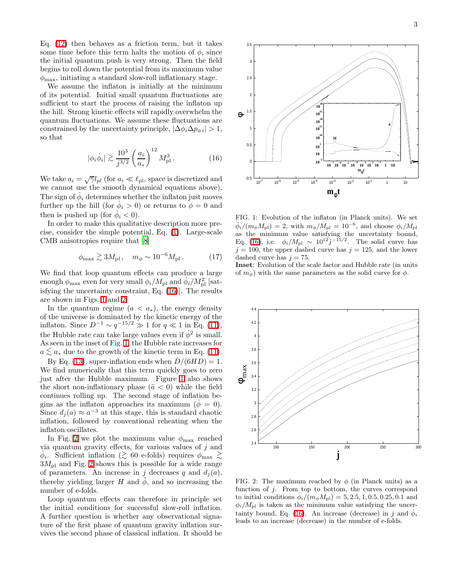Eq. [\(12\)](#page-2-1) then behaves as a friction term, but it takes some time before this term halts the motion of  $\phi$ , since the initial quantum push is very strong. Then the field begins to roll down the potential from its maximum value  $\phi_{\text{max}}$ , initiating a standard slow-roll inflationary stage.

We assume the inflaton is initially at the minimum of its potential. Initial small quantum fluctuations are sufficient to start the process of raising the inflaton up the hill. Strong kinetic effects will rapidly overwhelm the quantum fluctuations. We assume these fluctuations are constrained by the uncertainty principle,  $|\Delta \phi_i \Delta p_{\phi i}| > 1$ , so that

$$
|\phi_i \dot{\phi}_i| \gtrsim \frac{10^3}{j^{3/2}} \left(\frac{a_i}{a_*}\right)^{12} M_{\text{pl}}^3.
$$
 (16)

<span id="page-3-0"></span>We take  $a_i = \sqrt{\gamma} l_{pl}$  (for  $a_i \ll l_{pl}$ , space is discretized and we cannot use the smooth dynamical equations above). The sign of  $\dot{\phi}_i$  determines whether the inflaton just moves further up the hill (for  $\dot{\phi}_i > 0$ ) or returns to  $\dot{\phi} = 0$  and then is pushed up (for  $\dot{\phi}_i < 0$ ).

In order to make this qualitative description more precise, consider the simple potential, Eq. [\(1\)](#page-1-0). Large-scale CMB anisotropies require that [\[8\]](#page-5-7)

$$
\phi_{\text{max}} \gtrsim 3M_{\text{pl}} \,, \quad m_{\phi} \sim 10^{-6} M_{\text{pl}} \,. \tag{17}
$$

We find that loop quantum effects can produce a large enough  $\phi_{\text{max}}$  even for very small  $\phi_i/M_{\text{pl}}$  and  $\dot{\phi}_i/M_{\text{pl}}^2$  [satisfying the uncertainty constraint, Eq. [\(16\)](#page-3-0)]. The results are shown in Figs. [1](#page-3-1) and [2.](#page-3-2)

In the quantum regime  $(a < a_*)$ , the energy density of the universe is dominated by the kinetic energy of the inflaton. Since  $D^{-1} \sim q^{-15/2} \gg 1$  for  $q \ll 1$  in Eq. [\(11\)](#page-2-0), the Hubble rate can take large values even if  $\dot{\phi}^2$  is small. As seen in the inset of Fig. [1,](#page-3-1) the Hubble rate increases for  $a \lesssim a_*$  due to the growth of the kinetic term in Eq. [\(11\)](#page-2-0).

By Eq. [\(13\)](#page-2-3), super-inflation ends when  $D/(6HD) = 1$ . We find numerically that this term quickly goes to zero just after the Hubble maximum. Figure [1](#page-3-1) also shows the short non-inflationary phase  $(\ddot{a} < 0)$  while the field continues rolling up. The second stage of inflation begins as the inflaton approaches its maximum  $(\dot{\phi} = 0)$ . Since  $d_j(a) \approx a^{-3}$  at this stage, this is standard chaotic inflation, followed by conventional reheating when the inflaton oscillates.

In Fig. [2](#page-3-2) we plot the maximum value  $\phi_{\text{max}}$  reached via quantum gravity effects, for various values of  $j$  and  $\dot{\phi}_i$ . Sufficient inflation ( $\gtrsim 60$  e-folds) requires  $\phi_{\text{max}} \gtrsim$ <br>3*M* c and Fig. 2 shows this is possible for a wide range  $3M_{\rm pl}$  and Fig. [2](#page-3-2) shows this is possible for a wide range of parameters. An increase in j decreases q and  $d_j(a)$ , thereby yielding larger H and  $\phi$ , and so increasing the number of e-folds.

Loop quantum effects can therefore in principle set the initial conditions for successful slow-roll inflation. A further question is whether any observational signature of the first phase of quantum gravity inflation survives the second phase of classical inflation. It should be



<span id="page-3-1"></span>FIG. 1: Evolution of the inflaton (in Planck units). We set  $\dot{\phi}_i/(m_\phi M_{\rm pl}) = 2$ , with  $m_\phi/M_{\rm pl} = 10^{-6}$ , and choose  $\phi_i/M_{\rm pl}$ as the minimum value satisfying the uncertainty bound, Eq. [\(16\)](#page-3-0), i.e.  $\phi_i/M_{\rm pl} \sim 10^{12} j^{-15/2}$ . The solid curve has  $j = 100$ , the upper dashed curve has  $j = 125$ , and the lower dashed curve has  $j = 75$ .

Inset: Evolution of the scale factor and Hubble rate (in units of  $m_{\phi}$ ) with the same parameters as the solid curve for  $\phi$ .



<span id="page-3-2"></span>FIG. 2: The maximum reached by  $\phi$  (in Planck units) as a function of  $j$ . From top to bottom, the curves correspond to initial conditions  $\dot{\phi}_i/(\dot{m}_{\phi}M_{\rm pl}) = 5, 2.5, 1, 0.5, 0.25, 0.1$  and  $\phi_i/M_{\rm pl}$  is taken as the minimum value satisfying the uncer-tainty bound, Eq. [\(16\)](#page-3-0). An increase (decrease) in j and  $\dot{\phi}_i$ leads to an increase (decrease) in the number of e-folds.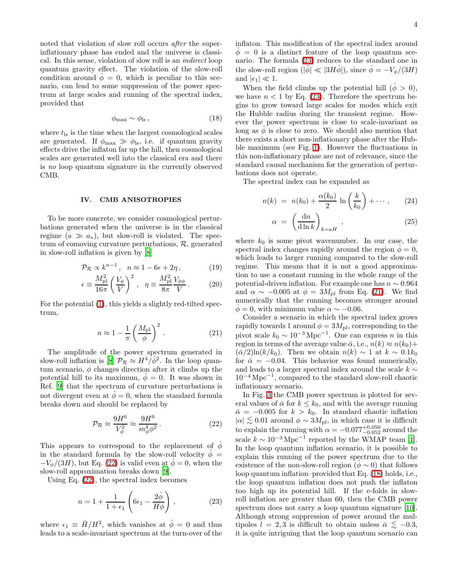noted that violation of slow roll occurs after the superinflationary phase has ended and the universe is classical. In this sense, violation of slow roll is an indirect loop quantum gravity effect. The violation of the slow-roll condition around  $\phi = 0$ , which is peculiar to this scenario, can lead to some suppression of the power spectrum at large scales and running of the spectral index, provided that

$$
\phi_{\text{max}} \sim \phi_{\text{ls}} \,, \tag{18}
$$

<span id="page-4-3"></span>where  $t_{\text{ls}}$  is the time when the largest cosmological scales are generated. If  $\phi_{\text{max}} \gg \phi_{\text{ls}}$ , i.e. if quantum gravity effects drive the inflaton far up the hill, then cosmological scales are generated well into the classical era and there is no loop quantum signature in the currently observed CMB.

#### IV. CMB ANISOTROPIES

To be more concrete, we consider cosmological perturbations generated when the universe is in the classical regime  $(a \gg a_*)$ , but slow-roll is violated. The spectrum of comoving curvature perturbations,  $R$ , generated in slow-roll inflation is given by [\[8](#page-5-7)]

$$
\mathcal{P}_{\mathcal{R}} \propto k^{n-1}, \quad n \approx 1 - 6\epsilon + 2\eta \,, \tag{19}
$$

$$
\epsilon \equiv \frac{M_{\rm pl}^2}{16\pi} \left(\frac{V_{\phi}}{V}\right)^2 \,, \quad \eta \equiv \frac{M_{\rm pl}^2}{8\pi} \frac{V_{\phi\phi}}{V} \,. \tag{20}
$$

<span id="page-4-2"></span>For the potential [\(1\)](#page-1-0), this yields a slightly red-tilted spectrum,

$$
n \approx 1 - \frac{1}{\pi} \left(\frac{M_{\rm pl}}{\phi}\right)^2.
$$
 (21)

The amplitude of the power spectrum generated in slow-roll inflation is [\[8](#page-5-7)]  $\mathcal{P}_R \approx H^4/\dot{\phi}^2$ . In the loop quantum scenario,  $\phi$  changes direction after it climbs up the potential hill to its maximum,  $\phi = 0$ . It was shown in Ref. [\[9](#page-5-8)] that the spectrum of curvature perturbations is not divergent even at  $\dot{\phi} = 0$ , when the standard formula breaks down and should be replaced by

$$
\mathcal{P}_{\mathcal{R}} \approx \frac{9H^6}{V_{\phi}^2} \approx \frac{9H^6}{m_{\phi}^4 \phi^2} \,. \tag{22}
$$

<span id="page-4-0"></span>This appears to correspond to the replacement of  $\phi$ in the standard formula by the slow-roll velocity  $\dot{\phi} =$  $-V_{\phi}/(3H)$ , but Eq. [\(22\)](#page-4-0) is valid even at  $\phi = 0$ , when the slow-roll approximation breaks down [\[9\]](#page-5-8).

Using Eq. [\(22\)](#page-4-0), the spectral index becomes

$$
n = 1 + \frac{1}{1 + \epsilon_1} \left( 6\epsilon_1 - \frac{2\dot{\phi}}{H\phi} \right), \qquad (23)
$$

<span id="page-4-1"></span>where  $\epsilon_1 \equiv H/H^2$ , which vanishes at  $\dot{\phi} = 0$  and thus leads to a scale-invariant spectrum at the turn-over of the inflaton. This modification of the spectral index around  $\phi = 0$  is a distinct feature of the loop quantum scenario. The formula [\(23\)](#page-4-1) reduces to the standard one in the slow-roll region ( $|\dot{\phi}| \ll |3H\phi|$ ), since  $\dot{\phi} = -V_{\phi}/(3H)$ and  $|\epsilon_1| \ll 1$ .

When the field climbs up the potential hill  $(\phi > 0)$ , we have  $n < 1$  by Eq. [\(23\)](#page-4-1). Therefore the spectrum begins to grow toward large scales for modes which exit the Hubble radius during the transient regime. However the power spectrum is close to scale-invariant as long as  $\phi$  is close to zero. We should also mention that there exists a short non-inflationary phase after the Hubble maximum (see Fig. [1\)](#page-3-1). However the fluctuations in this non-inflationary phase are not of relevance, since the standard causal mechanism for the generation of perturbations does not operate.

The spectral index can be expanded as

$$
n(k) = n(k_0) + \frac{\alpha(k_0)}{2} \ln \left( \frac{k}{k_0} \right) + \cdots, \qquad (24)
$$

$$
\alpha = \left(\frac{\mathrm{d}n}{\mathrm{d}\ln k}\right)_{k=aH},\tag{25}
$$

where  $k_0$  is some pivot wavenumber. In our case, the spectral index changes rapidly around the region  $\phi = 0$ , which leads to larger running compared to the slow-roll regime. This means that it is not a good approximation to use a constant running in the whole range of the potential-driven inflation. For example one has  $n \sim 0.964$ and  $\alpha \sim -0.005$  at  $\phi = 3M_{\text{pl}}$  from Eq. [\(21\)](#page-4-2). We find numerically that the running becomes stronger around  $\phi = 0$ , with minimum value  $\alpha \sim -0.06$ .

Consider a scenario in which the spectral index grows rapidly towards 1 around  $\phi = 3M_{\rm pl}$ , corresponding to the pivot scale  $k_0 \sim 10^{-3} \,\mathrm{Mpc}^{-1}$ . One can express *n* in this region in terms of the average value  $\bar{\alpha}$ , i.e.,  $n(k) \approx n(k_0) +$  $(\bar{\alpha}/2) \ln(k/k_0)$ . Then we obtain  $n(k) \sim 1$  at  $k \sim 0.1k_0$ for  $\bar{\alpha} = -0.04$ . This behavior was found numerically, and leads to a larger spectral index around the scale  $k \sim$  $10^{-4}$  Mpc<sup>-1</sup>, compared to the standard slow-roll chaotic inflationary scenario.

In Fig. [3](#page-5-9) the CMB power spectrum is plotted for several values of  $\bar{\alpha}$  for  $k \leq k_0$ , and with the average running  $\bar{\alpha}$  = −0.005 for  $k > k_0$ . In standard chaotic inflation  $|\alpha| \lesssim 0.01$  around  $\phi \sim 3M_{\rm pl}$ , in which case it is difficult to explain the running with  $\alpha = -0.077^{+0.050}_{-0.052}$  around the scale  $k \sim 10^{-3} \text{ Mpc}^{-1}$  reported by the WMAP team [\[1\]](#page-5-0). In the loop quantum inflation scenario, it is possible to explain this running of the power spectrum due to the existence of the non-slow-roll region  $(\phi \sim 0)$  that follows loop quantum inflation–provided that Eq. [\(18\)](#page-4-3) holds, i.e., the loop quantum inflation does not push the inflaton too high up its potential hill. If the e-folds in slowroll inflation are greater than 60, then the CMB power spectrum does not carry a loop quantum signature [\[10\]](#page-5-10). Although strong suppression of power around the multipoles  $l = 2, 3$  is difficult to obtain unless  $\bar{\alpha} \lesssim -0.3$ , it is quite intriguing that the loop quantum scenario can